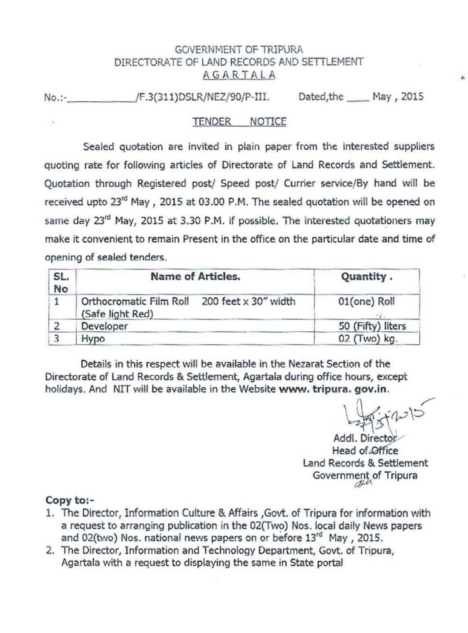## GOVERNMENT OF TRIPURA DIRECTORATE OF LAND RECORDS AND SETTLEMENT AGARTALA

No.:- /F.3(311)DSLR/NEZ/90/P-III. Dated, the May , 2015

## TENDER NOTICE

Sealed quotation are invited in plain paper from the interested suppliers quoting rate for following articles of Directorate of Land Records and Settlement. Quotation through Registered post/ Speed post/ Currier service/By hand will be received upto 23<sup>rd</sup> May, 2015 at 03.00 P.M. The sealed quotation will be opened on same day 23<sup>rd</sup> May, 2015 at 3.30 P.M. if possible. The interested quotationers may make it convenient to remain Present in the office on the particular date and time of opening of sealed tenders.

| SL.<br>No | <b>Name of Articles.</b>                    | Quantity.                                   |
|-----------|---------------------------------------------|---------------------------------------------|
|           | Orthocromatic Film Roll<br>(Safe light Red) | 200 feet $\times$ 30" width<br>01(one) Roll |
|           | Developer                                   | 50 (Fifty) liters                           |
|           | Hypo                                        | 02 (Two) kg.                                |

Details in this respect will be available in the Nezarat Section of the Directorate of Land Records & Settlement, Agartala during office hours, except holidays. And NIT will be available in the Website **www. tripura. gov.in.** 

 $\frac{1}{2}$  $27$ 

Addl. Director Head of Office Land Records & Settlement Government of Tripura

## **Copy to:-**

- 1. The Director, Information Culture & Affairs , Govt. of Tripura for information with a request to arranging publication in the 02(Two) Nos. local daily News papers and 02(two) Nos. national news papers on or before 13rd May , 2015.
- 2. The Director, Information and Technology Department, Govt. of Tripura, Agartala with a request to displaying the same in State portal